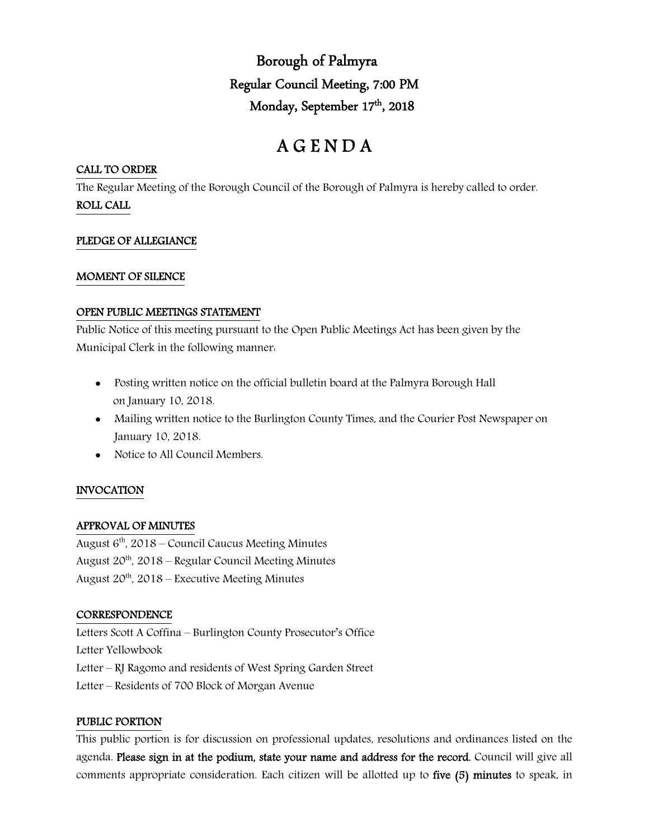Borough of Palmyra Regular Council Meeting, 7:00 PM Monday, September 17<sup>th</sup>, 2018

# A G E N D A

## CALL TO ORDER

The Regular Meeting of the Borough Council of the Borough of Palmyra is hereby called to order. ROLL CALL

# PLEDGE OF ALLEGIANCE

#### MOMENT OF SILENCE

#### OPEN PUBLIC MEETINGS STATEMENT

Public Notice of this meeting pursuant to the Open Public Meetings Act has been given by the Municipal Clerk in the following manner:

- Posting written notice on the official bulletin board at the Palmyra Borough Hall on January 10, 2018.
- Mailing written notice to the Burlington County Times, and the Courier Post Newspaper on January 10, 2018.
- Notice to All Council Members.

# INVOCATION

# APPROVAL OF MINUTES

August  $6<sup>th</sup>$ , 2018 – Council Caucus Meeting Minutes August  $20^{th}$ ,  $2018$  – Regular Council Meeting Minutes August  $20^{th}$ ,  $2018$  – Executive Meeting Minutes

# **CORRESPONDENCE**

Letters Scott A Coffina – Burlington County Prosecutor's Office Letter Yellowbook Letter – RJ Ragomo and residents of West Spring Garden Street Letter – Residents of 700 Block of Morgan Avenue

#### PUBLIC PORTION

This public portion is for discussion on professional updates, resolutions and ordinances listed on the agenda. Please sign in at the podium, state your name and address for the record. Council will give all comments appropriate consideration. Each citizen will be allotted up to five (5) minutes to speak, in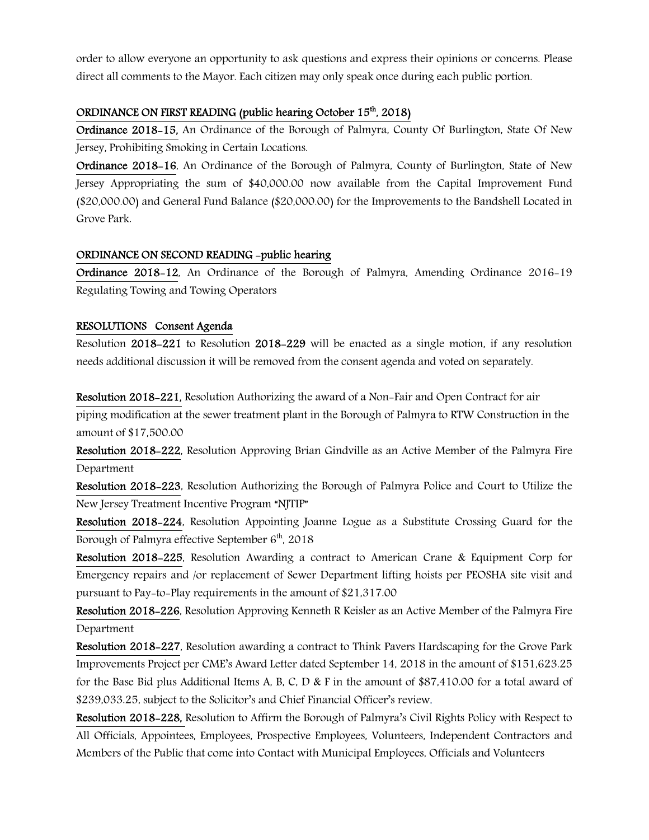order to allow everyone an opportunity to ask questions and express their opinions or concerns. Please direct all comments to the Mayor. Each citizen may only speak once during each public portion.

## ORDINANCE ON FIRST READING (public hearing October 15<sup>th</sup>, 2018)

Ordinance 2018-15, An Ordinance of the Borough of Palmyra, County Of Burlington, State Of New Jersey, Prohibiting Smoking in Certain Locations.

Ordinance 2018-16, An Ordinance of the Borough of Palmyra, County of Burlington, State of New Jersey Appropriating the sum of \$40,000.00 now available from the Capital Improvement Fund (\$20,000.00) and General Fund Balance (\$20,000.00) for the Improvements to the Bandshell Located in Grove Park.

# ORDINANCE ON SECOND READING -public hearing

Ordinance 2018-12, An Ordinance of the Borough of Palmyra, Amending Ordinance 2016-19 Regulating Towing and Towing Operators

# RESOLUTIONS Consent Agenda

Resolution 2018-221 to Resolution 2018-229 will be enacted as a single motion, if any resolution needs additional discussion it will be removed from the consent agenda and voted on separately.

Resolution 2018-221, Resolution Authorizing the award of a Non-Fair and Open Contract for air piping modification at the sewer treatment plant in the Borough of Palmyra to RTW Construction in the amount of \$17,500.00

Resolution 2018-222, Resolution Approving Brian Gindville as an Active Member of the Palmyra Fire Department

Resolution 2018-223, Resolution Authorizing the Borough of Palmyra Police and Court to Utilize the New Jersey Treatment Incentive Program "NJTIP"

Resolution 2018-224, Resolution Appointing Joanne Logue as a Substitute Crossing Guard for the Borough of Palmyra effective September  $6<sup>th</sup>$ , 2018

Resolution 2018-225, Resolution Awarding a contract to American Crane & Equipment Corp for Emergency repairs and /or replacement of Sewer Department lifting hoists per PEOSHA site visit and pursuant to Pay-to-Play requirements in the amount of \$21,317.00

Resolution 2018-226, Resolution Approving Kenneth R Keisler as an Active Member of the Palmyra Fire Department

Resolution 2018-227, Resolution awarding a contract to Think Pavers Hardscaping for the Grove Park Improvements Project per CME's Award Letter dated September 14, 2018 in the amount of \$151,623.25 for the Base Bid plus Additional Items A, B, C, D & F in the amount of \$87,410.00 for a total award of \$239,033.25, subject to the Solicitor's and Chief Financial Officer's review.

Resolution 2018-228, Resolution to Affirm the Borough of Palmyra's Civil Rights Policy with Respect to All Officials, Appointees, Employees, Prospective Employees, Volunteers, Independent Contractors and Members of the Public that come into Contact with Municipal Employees, Officials and Volunteers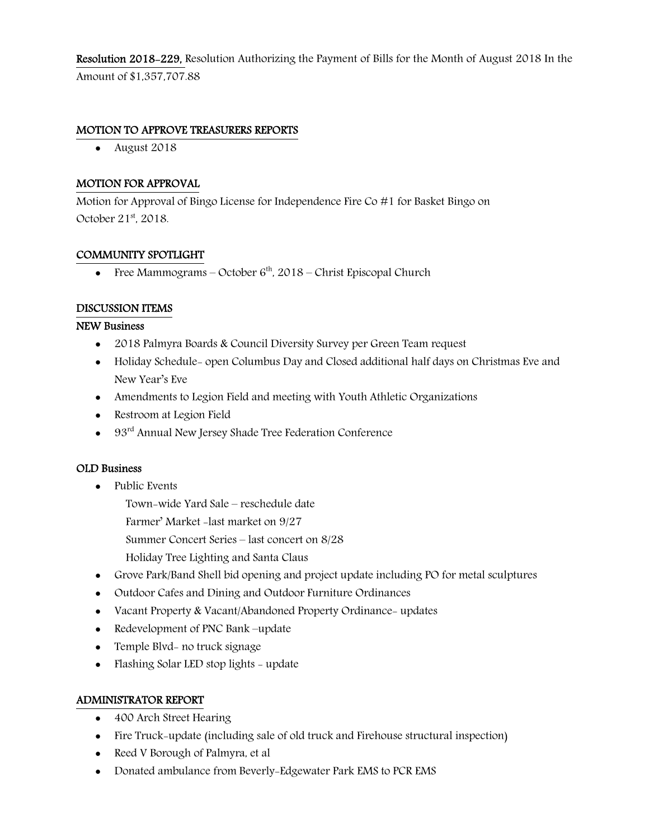Resolution 2018-229, Resolution Authorizing the Payment of Bills for the Month of August 2018 In the Amount of \$1,357,707.88

## MOTION TO APPROVE TREASURERS REPORTS

• August 2018

# MOTION FOR APPROVAL

Motion for Approval of Bingo License for Independence Fire Co #1 for Basket Bingo on October  $21<sup>st</sup>$ , 2018.

# COMMUNITY SPOTLIGHT

Free Mammograms – October  $6<sup>th</sup>$ , 2018 – Christ Episcopal Church

# DISCUSSION ITEMS

#### NEW Business

- 2018 Palmyra Boards & Council Diversity Survey per Green Team request
- Holiday Schedule- open Columbus Day and Closed additional half days on Christmas Eve and New Year's Eve
- Amendments to Legion Field and meeting with Youth Athletic Organizations
- Restroom at Legion Field
- 93<sup>rd</sup> Annual New Jersey Shade Tree Federation Conference

#### OLD Business

- Public Events
	- Town-wide Yard Sale reschedule date
	- Farmer' Market -last market on 9/27
	- Summer Concert Series last concert on 8/28
	- Holiday Tree Lighting and Santa Claus
- Grove Park/Band Shell bid opening and project update including PO for metal sculptures
- Outdoor Cafes and Dining and Outdoor Furniture Ordinances
- Vacant Property & Vacant/Abandoned Property Ordinance- updates
- Redevelopment of PNC Bank –update
- Temple Blvd- no truck signage
- Flashing Solar LED stop lights update

# ADMINISTRATOR REPORT

- 400 Arch Street Hearing
- Fire Truck-update (including sale of old truck and Firehouse structural inspection)
- Reed V Borough of Palmyra, et al
- Donated ambulance from Beverly-Edgewater Park EMS to PCR EMS